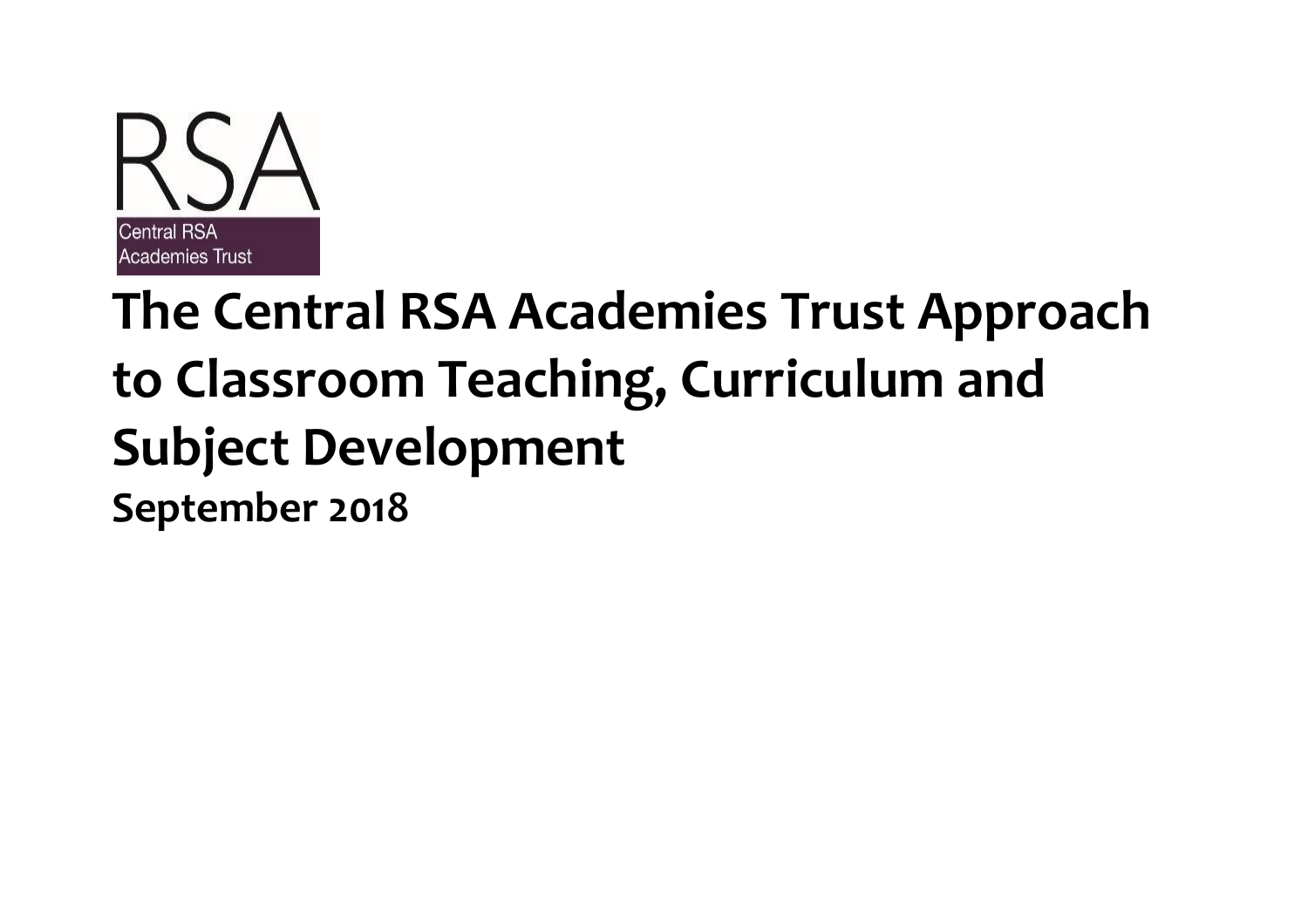

# **The Central RSA Academies Trust Approach to Classroom Teaching, Curriculum and Subject Development September 2018**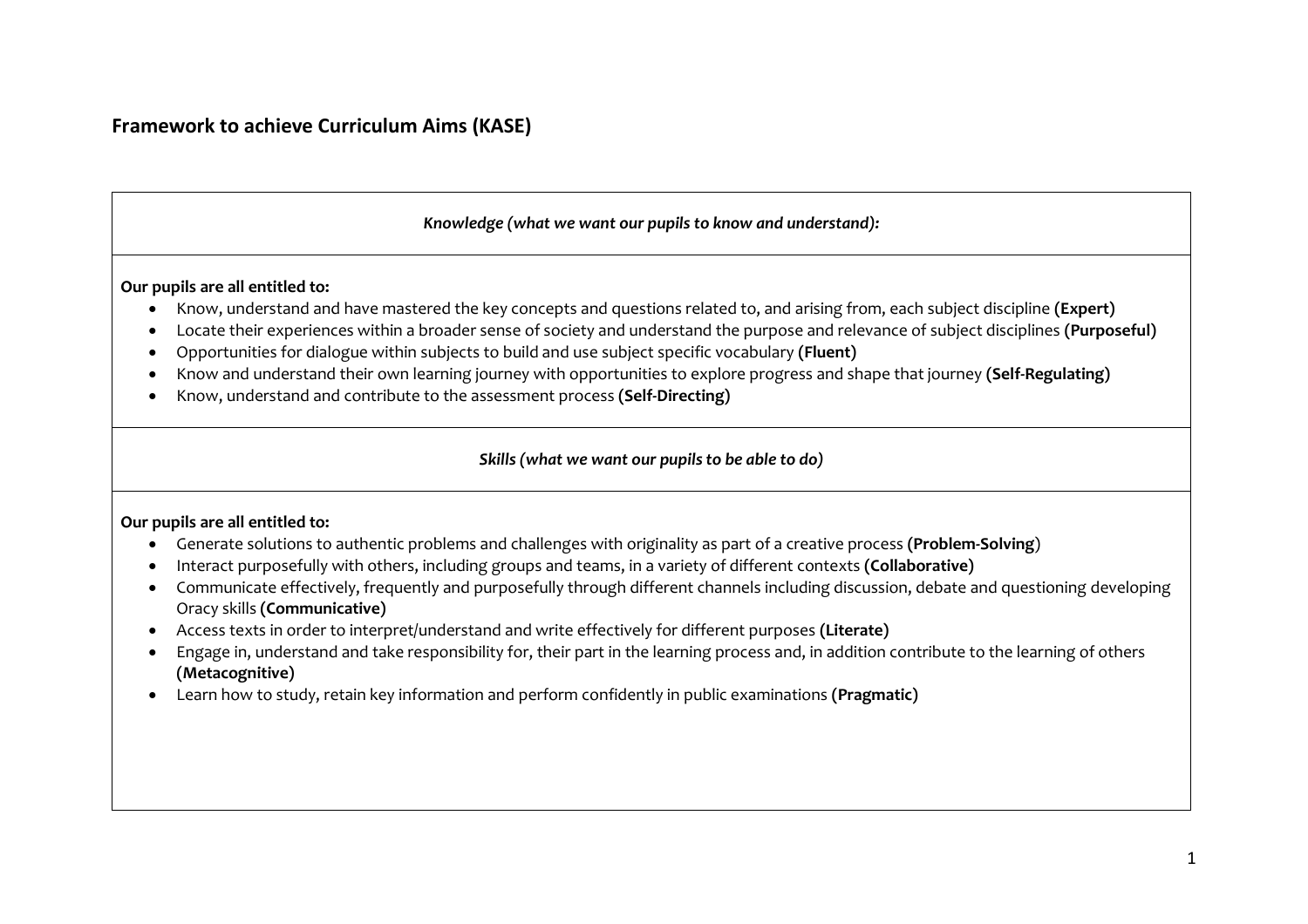### *Knowledge (what we want our pupils to know and understand):*

**Our pupils are all entitled to:**

- Know, understand and have mastered the key concepts and questions related to, and arising from, each subject discipline **(Expert)**
- Locate their experiences within a broader sense of society and understand the purpose and relevance of subject disciplines **(Purposeful)**
- Opportunities for dialogue within subjects to build and use subject specific vocabulary **(Fluent)**
- Know and understand their own learning journey with opportunities to explore progress and shape that journey **(Self-Regulating)**
- Know, understand and contribute to the assessment process **(Self-Directing)**

#### *Skills (what we want our pupils to be able to do)*

#### **Our pupils are all entitled to:**

- Generate solutions to authentic problems and challenges with originality as part of a creative process **(Problem-Solving**)
- Interact purposefully with others, including groups and teams, in a variety of different contexts **(Collaborative)**
- Communicate effectively, frequently and purposefully through different channels including discussion, debate and questioning developing Oracy skills **(Communicative)**
- Access texts in order to interpret/understand and write effectively for different purposes **(Literate)**
- Engage in, understand and take responsibility for, their part in the learning process and, in addition contribute to the learning of others **(Metacognitive)**
- Learn how to study, retain key information and perform confidently in public examinations **(Pragmatic)**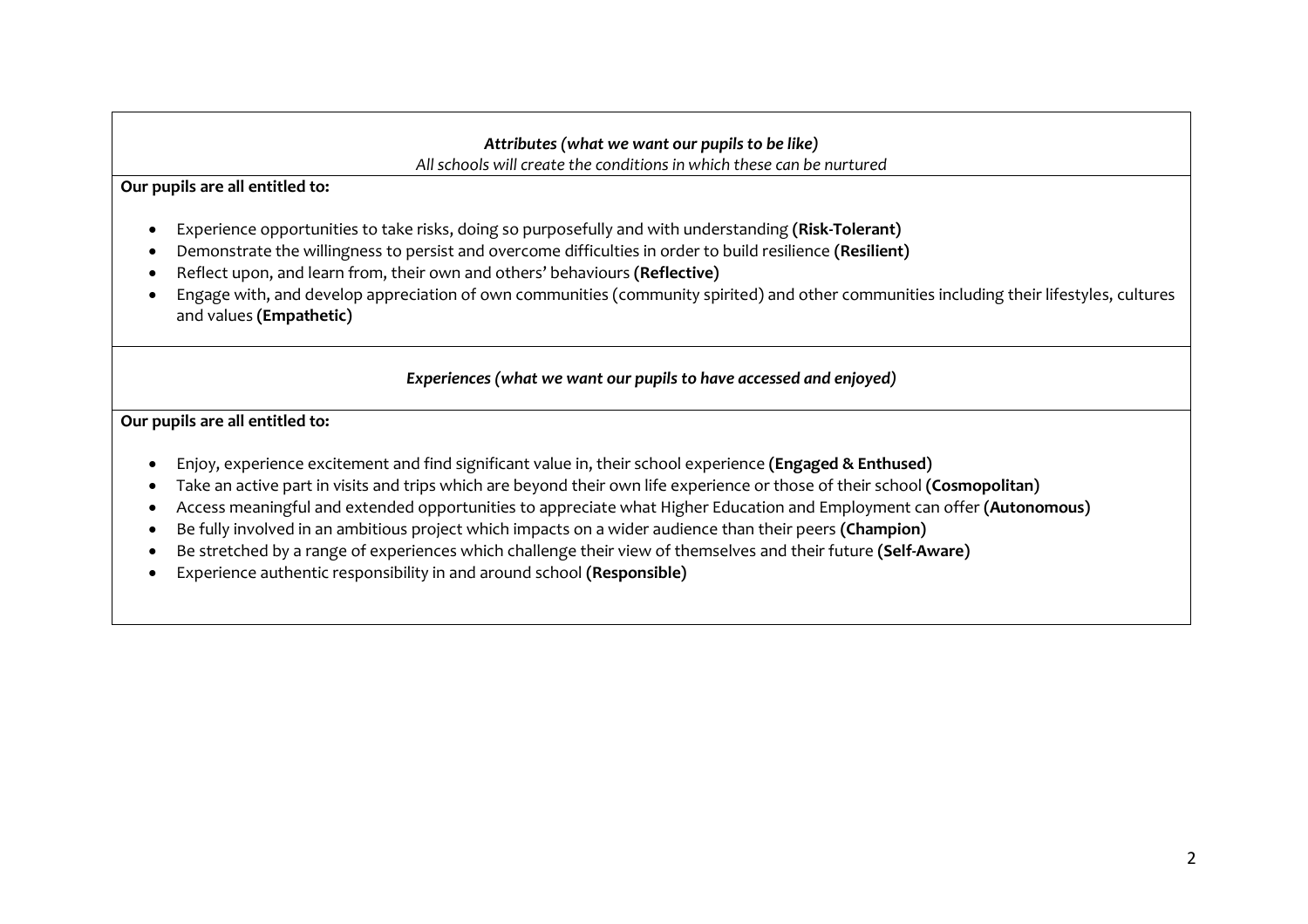#### *Attributes (what we want our pupils to be like) All schools will create the conditions in which these can be nurtured*

**Our pupils are all entitled to:**

- Experience opportunities to take risks, doing so purposefully and with understanding **(Risk-Tolerant)**
- Demonstrate the willingness to persist and overcome difficulties in order to build resilience **(Resilient)**
- Reflect upon, and learn from, their own and others' behaviours **(Reflective)**
- Engage with, and develop appreciation of own communities (community spirited) and other communities including their lifestyles, cultures and values **(Empathetic)**

# *Experiences (what we want our pupils to have accessed and enjoyed)*

**Our pupils are all entitled to:**

- Enjoy, experience excitement and find significant value in, their school experience **(Engaged & Enthused)**
- Take an active part in visits and trips which are beyond their own life experience or those of their school **(Cosmopolitan)**
- Access meaningful and extended opportunities to appreciate what Higher Education and Employment can offer **(Autonomous)**
- Be fully involved in an ambitious project which impacts on a wider audience than their peers **(Champion)**
- Be stretched by a range of experiences which challenge their view of themselves and their future **(Self-Aware)**
- Experience authentic responsibility in and around school **(Responsible)**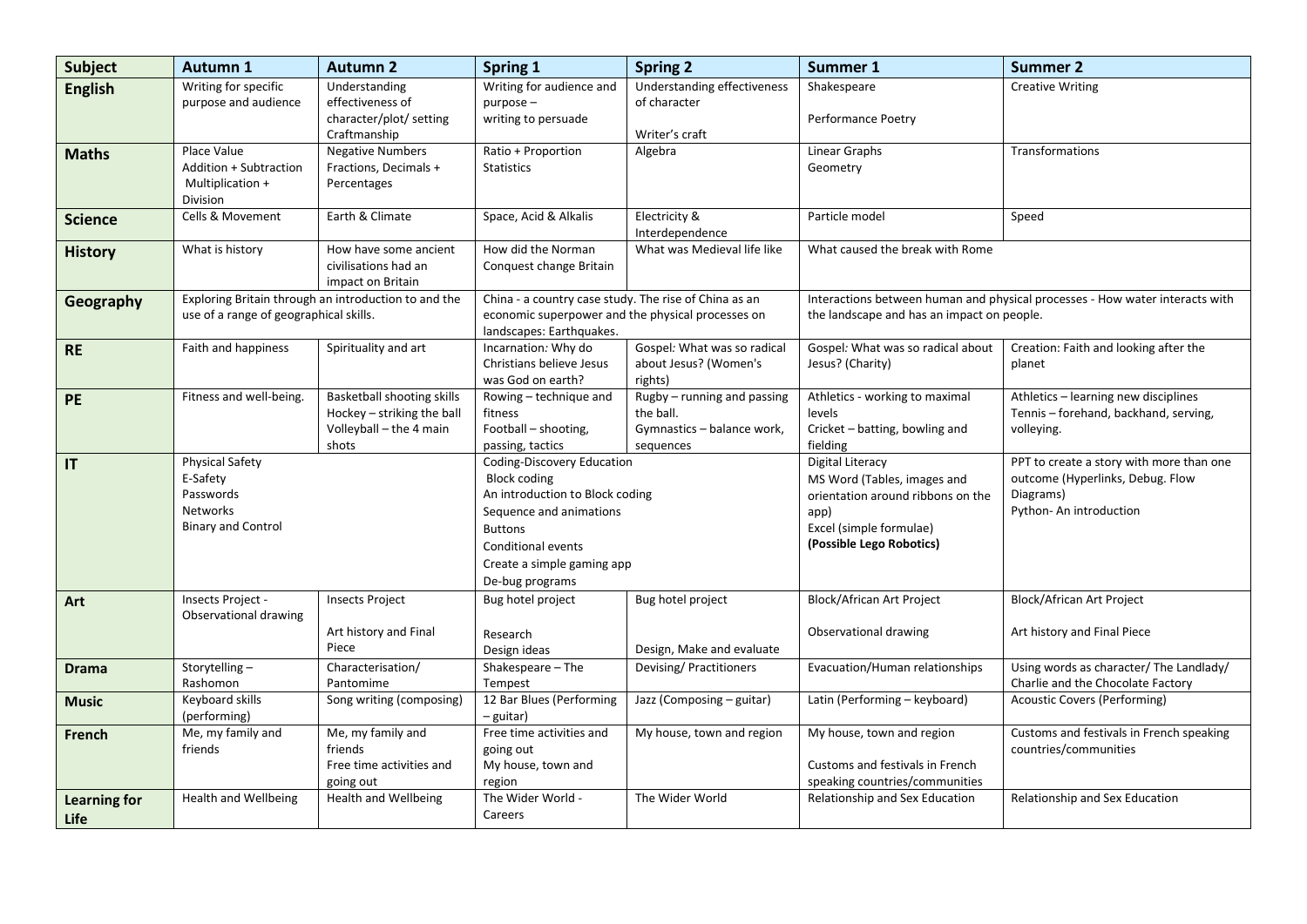| <b>Subject</b>       | <b>Autumn 1</b>                                                                                 | <b>Autumn 2</b>                                                                              | Spring 1                                                                                                                                                                                                 | <b>Spring 2</b>                                                                     | Summer 1                                                                                                                                            | <b>Summer 2</b>                                                                                                      |
|----------------------|-------------------------------------------------------------------------------------------------|----------------------------------------------------------------------------------------------|----------------------------------------------------------------------------------------------------------------------------------------------------------------------------------------------------------|-------------------------------------------------------------------------------------|-----------------------------------------------------------------------------------------------------------------------------------------------------|----------------------------------------------------------------------------------------------------------------------|
| <b>English</b>       | Writing for specific<br>purpose and audience                                                    | Understanding<br>effectiveness of<br>character/plot/ setting<br>Craftmanship                 | Writing for audience and<br>purpose-<br>writing to persuade                                                                                                                                              | Understanding effectiveness<br>of character<br>Writer's craft                       | Shakespeare<br>Performance Poetry                                                                                                                   | <b>Creative Writing</b>                                                                                              |
| <b>Maths</b>         | Place Value<br>Addition + Subtraction<br>Multiplication +<br>Division                           | <b>Negative Numbers</b><br>Fractions, Decimals +<br>Percentages                              | Ratio + Proportion<br><b>Statistics</b>                                                                                                                                                                  | Algebra                                                                             | <b>Linear Graphs</b><br>Geometry                                                                                                                    | Transformations                                                                                                      |
| <b>Science</b>       | Cells & Movement                                                                                | Earth & Climate                                                                              | Space, Acid & Alkalis                                                                                                                                                                                    | Electricity &<br>Interdependence                                                    | Particle model                                                                                                                                      | Speed                                                                                                                |
| <b>History</b>       | What is history                                                                                 | How have some ancient<br>civilisations had an<br>impact on Britain                           | How did the Norman<br>Conquest change Britain                                                                                                                                                            | What was Medieval life like                                                         | What caused the break with Rome                                                                                                                     |                                                                                                                      |
| Geography            | Exploring Britain through an introduction to and the<br>use of a range of geographical skills.  |                                                                                              | China - a country case study. The rise of China as an<br>economic superpower and the physical processes on<br>landscapes: Earthquakes.                                                                   |                                                                                     | Interactions between human and physical processes - How water interacts with<br>the landscape and has an impact on people.                          |                                                                                                                      |
| <b>RE</b>            | Faith and happiness                                                                             | Spirituality and art                                                                         | Incarnation: Why do<br>Christians believe Jesus<br>was God on earth?                                                                                                                                     | Gospel: What was so radical<br>about Jesus? (Women's<br>rights)                     | Gospel: What was so radical about<br>Jesus? (Charity)                                                                                               | Creation: Faith and looking after the<br>planet                                                                      |
| PE                   | Fitness and well-being.                                                                         | Basketball shooting skills<br>Hockey - striking the ball<br>Volleyball - the 4 main<br>shots | Rowing - technique and<br>fitness<br>Football – shooting,<br>passing, tactics                                                                                                                            | Rugby - running and passing<br>the ball.<br>Gymnastics - balance work,<br>sequences | Athletics - working to maximal<br>levels<br>Cricket - batting, bowling and<br>fielding                                                              | Athletics - learning new disciplines<br>Tennis - forehand, backhand, serving,<br>volleying.                          |
| IT                   | <b>Physical Safety</b><br>E-Safety<br>Passwords<br><b>Networks</b><br><b>Binary and Control</b> |                                                                                              | Coding-Discovery Education<br><b>Block coding</b><br>An introduction to Block coding<br>Sequence and animations<br><b>Buttons</b><br>Conditional events<br>Create a simple gaming app<br>De-bug programs |                                                                                     | Digital Literacy<br>MS Word (Tables, images and<br>orientation around ribbons on the<br>app)<br>Excel (simple formulae)<br>(Possible Lego Robotics) | PPT to create a story with more than one<br>outcome (Hyperlinks, Debug. Flow<br>Diagrams)<br>Python- An introduction |
| Art                  | Insects Project -<br>Observational drawing                                                      | <b>Insects Project</b><br>Art history and Final<br>Piece                                     | Bug hotel project<br>Research<br>Design ideas                                                                                                                                                            | Bug hotel project<br>Design, Make and evaluate                                      | <b>Block/African Art Project</b><br>Observational drawing                                                                                           | <b>Block/African Art Project</b><br>Art history and Final Piece                                                      |
| <b>Drama</b>         | Storytelling-<br>Rashomon                                                                       | Characterisation/<br>Pantomime                                                               | Shakespeare - The<br>Tempest                                                                                                                                                                             | Devising/ Practitioners                                                             | Evacuation/Human relationships                                                                                                                      | Using words as character/ The Landlady/<br>Charlie and the Chocolate Factory                                         |
| <b>Music</b>         | Keyboard skills<br>(performing)                                                                 | Song writing (composing)                                                                     | 12 Bar Blues (Performing<br>– guitar)                                                                                                                                                                    | Jazz (Composing - guitar)                                                           | Latin (Performing - keyboard)                                                                                                                       | <b>Acoustic Covers (Performing)</b>                                                                                  |
| French               | Me, my family and<br>friends                                                                    | Me, my family and<br>friends<br>Free time activities and<br>going out                        | Free time activities and<br>going out<br>My house, town and<br>region                                                                                                                                    | My house, town and region                                                           | My house, town and region<br>Customs and festivals in French<br>speaking countries/communities                                                      | Customs and festivals in French speaking<br>countries/communities                                                    |
| Learning for<br>Life | <b>Health and Wellbeing</b>                                                                     | Health and Wellbeing                                                                         | The Wider World -<br>Careers                                                                                                                                                                             | The Wider World                                                                     | Relationship and Sex Education                                                                                                                      | Relationship and Sex Education                                                                                       |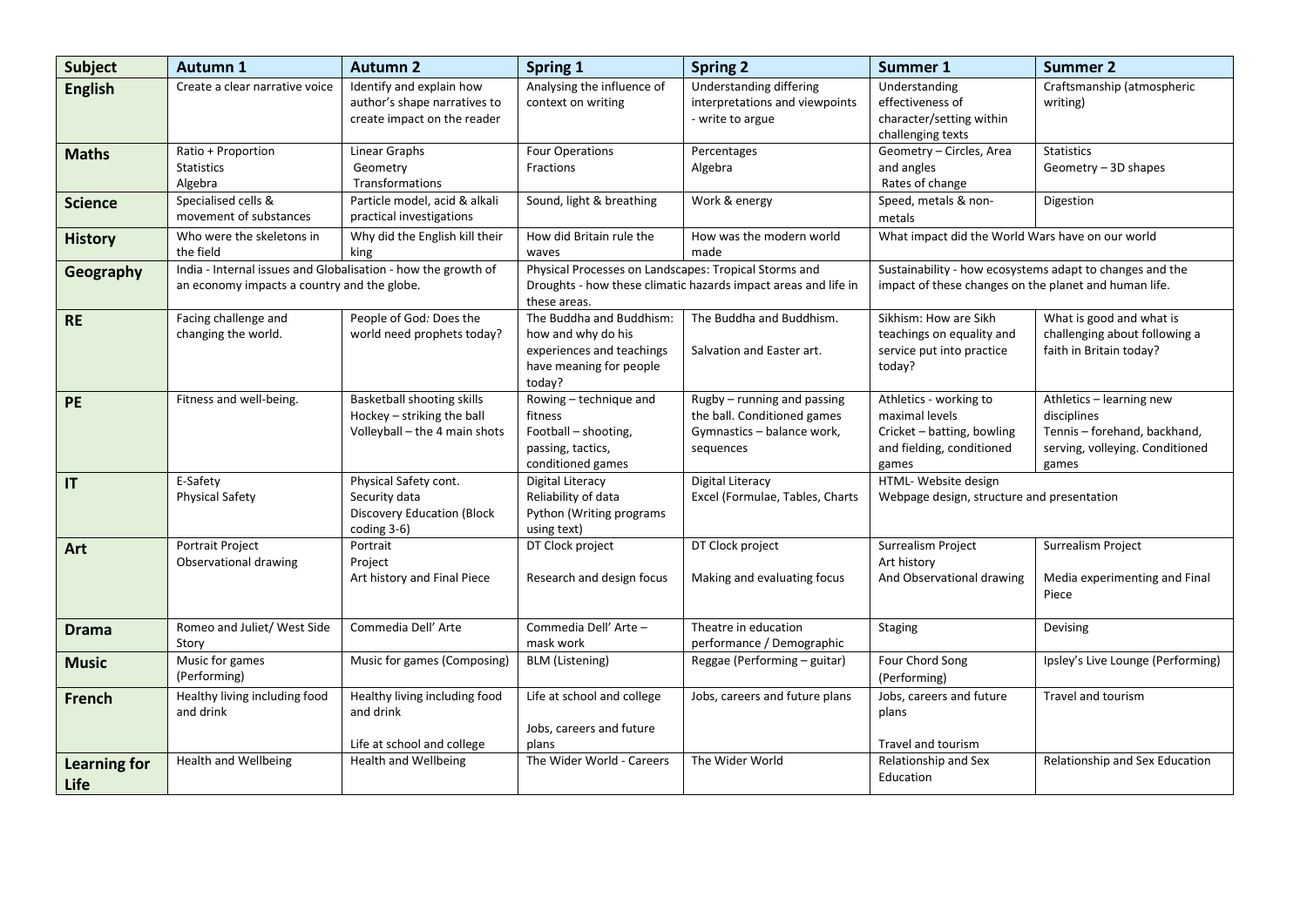| <b>Subject</b>              | <b>Autumn 1</b>                                                                                              | <b>Autumn 2</b>                                                                            | Spring 1                                                                                                                                | <b>Spring 2</b>                                                                                       | <b>Summer 1</b>                                                                                                   | <b>Summer 2</b>                                                                                                     |
|-----------------------------|--------------------------------------------------------------------------------------------------------------|--------------------------------------------------------------------------------------------|-----------------------------------------------------------------------------------------------------------------------------------------|-------------------------------------------------------------------------------------------------------|-------------------------------------------------------------------------------------------------------------------|---------------------------------------------------------------------------------------------------------------------|
| <b>English</b>              | Create a clear narrative voice                                                                               | Identify and explain how<br>author's shape narratives to<br>create impact on the reader    | Analysing the influence of<br>context on writing                                                                                        | Understanding differing<br>interpretations and viewpoints<br>- write to argue                         | Understanding<br>effectiveness of<br>character/setting within<br>challenging texts                                | Craftsmanship (atmospheric<br>writing)                                                                              |
| <b>Maths</b>                | Ratio + Proportion<br><b>Statistics</b><br>Algebra                                                           | Linear Graphs<br>Geometry<br>Transformations                                               | <b>Four Operations</b><br>Fractions                                                                                                     | Percentages<br>Algebra                                                                                | Geometry - Circles, Area<br>and angles<br>Rates of change                                                         | <b>Statistics</b><br>Geometry - 3D shapes                                                                           |
| <b>Science</b>              | Specialised cells &<br>movement of substances                                                                | Particle model, acid & alkali<br>practical investigations                                  | Sound, light & breathing                                                                                                                | Work & energy                                                                                         | Speed, metals & non-<br>metals                                                                                    | Digestion                                                                                                           |
| <b>History</b>              | Who were the skeletons in<br>the field                                                                       | Why did the English kill their<br>king                                                     | How did Britain rule the<br>waves                                                                                                       | How was the modern world<br>made                                                                      | What impact did the World Wars have on our world                                                                  |                                                                                                                     |
| Geography                   | India - Internal issues and Globalisation - how the growth of<br>an economy impacts a country and the globe. |                                                                                            | Physical Processes on Landscapes: Tropical Storms and<br>Droughts - how these climatic hazards impact areas and life in<br>these areas. |                                                                                                       | Sustainability - how ecosystems adapt to changes and the<br>impact of these changes on the planet and human life. |                                                                                                                     |
| <b>RE</b>                   | Facing challenge and<br>changing the world.                                                                  | People of God: Does the<br>world need prophets today?                                      | The Buddha and Buddhism:<br>how and why do his<br>experiences and teachings<br>have meaning for people<br>today?                        | The Buddha and Buddhism.<br>Salvation and Easter art.                                                 | Sikhism: How are Sikh<br>teachings on equality and<br>service put into practice<br>today?                         | What is good and what is<br>challenging about following a<br>faith in Britain today?                                |
| PE                          | Fitness and well-being.                                                                                      | Basketball shooting skills<br>Hockey - striking the ball<br>Volleyball - the 4 main shots  | Rowing - technique and<br>fitness<br>Football - shooting,<br>passing, tactics,<br>conditioned games                                     | Rugby - running and passing<br>the ball. Conditioned games<br>Gymnastics - balance work,<br>sequences | Athletics - working to<br>maximal levels<br>Cricket - batting, bowling<br>and fielding, conditioned<br>games      | Athletics - learning new<br>disciplines<br>Tennis - forehand, backhand,<br>serving, volleying. Conditioned<br>games |
| $\mathsf{I}$                | E-Safety<br><b>Physical Safety</b>                                                                           | Physical Safety cont.<br>Security data<br><b>Discovery Education (Block</b><br>coding 3-6) | Digital Literacy<br>Reliability of data<br>Python (Writing programs<br>using text)                                                      | <b>Digital Literacy</b><br>Excel (Formulae, Tables, Charts                                            | HTML- Website design<br>Webpage design, structure and presentation                                                |                                                                                                                     |
| Art                         | Portrait Project<br>Observational drawing                                                                    | Portrait<br>Project<br>Art history and Final Piece                                         | DT Clock project<br>Research and design focus                                                                                           | DT Clock project<br>Making and evaluating focus                                                       | Surrealism Project<br>Art history<br>And Observational drawing                                                    | Surrealism Project<br>Media experimenting and Final<br>Piece                                                        |
| <b>Drama</b>                | Romeo and Juliet/ West Side<br>Story                                                                         | Commedia Dell' Arte                                                                        | Commedia Dell' Arte -<br>mask work                                                                                                      | Theatre in education<br>performance / Demographic                                                     | Staging                                                                                                           | Devising                                                                                                            |
| <b>Music</b>                | Music for games<br>(Performing)                                                                              | Music for games (Composing)                                                                | <b>BLM</b> (Listening)                                                                                                                  | Reggae (Performing - guitar)                                                                          | Four Chord Song<br>(Performing)                                                                                   | Ipsley's Live Lounge (Performing)                                                                                   |
| <b>French</b>               | Healthy living including food<br>and drink                                                                   | Healthy living including food<br>and drink<br>Life at school and college                   | Life at school and college<br>Jobs, careers and future<br>plans                                                                         | Jobs, careers and future plans                                                                        | Jobs, careers and future<br>plans<br>Travel and tourism                                                           | Travel and tourism                                                                                                  |
| <b>Learning for</b><br>Life | <b>Health and Wellbeing</b>                                                                                  | Health and Wellbeing                                                                       | The Wider World - Careers                                                                                                               | The Wider World                                                                                       | Relationship and Sex<br>Education                                                                                 | Relationship and Sex Education                                                                                      |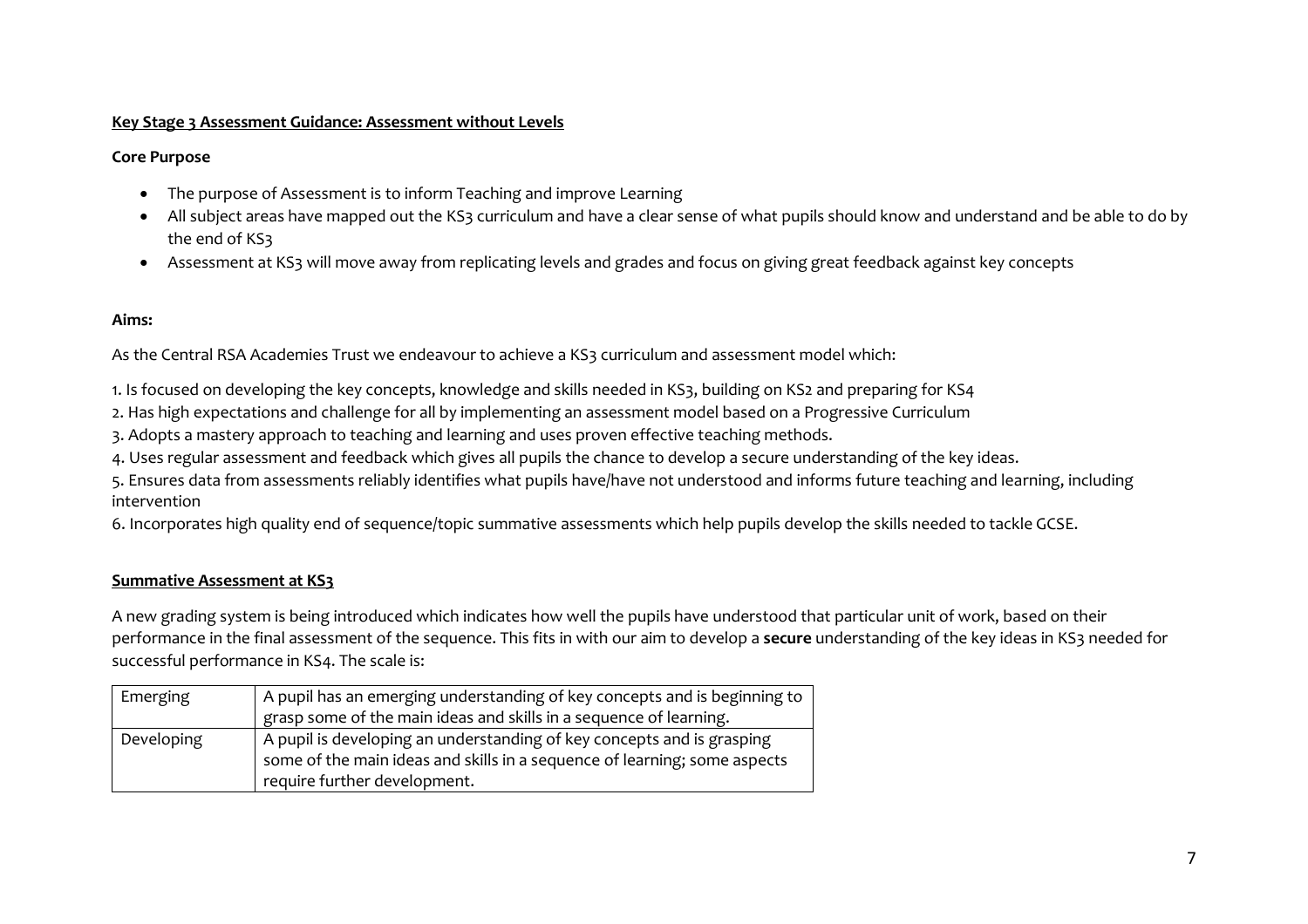#### **Key Stage 3 Assessment Guidance: Assessment without Levels**

#### **Core Purpose**

- The purpose of Assessment is to inform Teaching and improve Learning
- All subject areas have mapped out the KS3 curriculum and have a clear sense of what pupils should know and understand and be able to do by the end of KS3
- Assessment at KS3 will move away from replicating levels and grades and focus on giving great feedback against key concepts

# **Aims:**

As the Central RSA Academies Trust we endeavour to achieve a KS3 curriculum and assessment model which:

1. Is focused on developing the key concepts, knowledge and skills needed in KS3, building on KS2 and preparing for KS4

2. Has high expectations and challenge for all by implementing an assessment model based on a Progressive Curriculum

3. Adopts a mastery approach to teaching and learning and uses proven effective teaching methods.

4. Uses regular assessment and feedback which gives all pupils the chance to develop a secure understanding of the key ideas.

5. Ensures data from assessments reliably identifies what pupils have/have not understood and informs future teaching and learning, including intervention

6. Incorporates high quality end of sequence/topic summative assessments which help pupils develop the skills needed to tackle GCSE.

# **Summative Assessment at KS3**

A new grading system is being introduced which indicates how well the pupils have understood that particular unit of work, based on their performance in the final assessment of the sequence. This fits in with our aim to develop a **secure** understanding of the key ideas in KS3 needed for successful performance in KS4. The scale is:

| Emerging   | A pupil has an emerging understanding of key concepts and is beginning to |
|------------|---------------------------------------------------------------------------|
|            | grasp some of the main ideas and skills in a sequence of learning.        |
| Developing | A pupil is developing an understanding of key concepts and is grasping    |
|            | some of the main ideas and skills in a sequence of learning; some aspects |
|            | require further development.                                              |